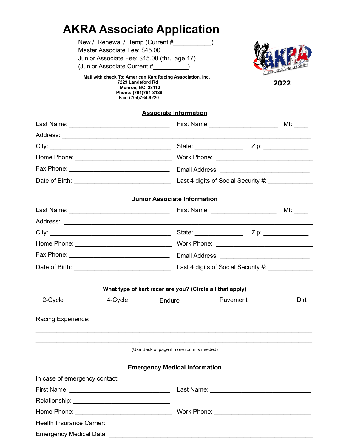## **AKRA Associate Application**

 **Monroe, NC 28112 Phone: (704)764-8138 Fax: (704)764-9220**

| New / Renewal / Temp (Current #                            |                |
|------------------------------------------------------------|----------------|
| Master Associate Fee: \$45.00                              |                |
| Junior Associate Fee: \$15.00 (thru age 17)                |                |
| (Junior Associate Current #                                | <b>SECTION</b> |
| Mail with check To: American Kart Racing Association, Inc. |                |
| 7229 Landsford Rd                                          | 2022           |

**2022**

| <b>Associate Information</b>                             |         |                                     |          |            |  |  |
|----------------------------------------------------------|---------|-------------------------------------|----------|------------|--|--|
|                                                          |         |                                     |          |            |  |  |
|                                                          |         |                                     |          |            |  |  |
|                                                          |         |                                     |          |            |  |  |
|                                                          |         |                                     |          |            |  |  |
|                                                          |         |                                     |          |            |  |  |
|                                                          |         |                                     |          |            |  |  |
|                                                          |         | <b>Junior Associate Information</b> |          |            |  |  |
|                                                          |         |                                     |          | MI: $\_\_$ |  |  |
|                                                          |         |                                     |          |            |  |  |
|                                                          |         |                                     |          |            |  |  |
|                                                          |         |                                     |          |            |  |  |
|                                                          |         |                                     |          |            |  |  |
|                                                          |         |                                     |          |            |  |  |
|                                                          |         |                                     |          |            |  |  |
| What type of kart racer are you? (Circle all that apply) |         |                                     |          |            |  |  |
| 2-Cycle                                                  | 4-Cycle | Enduro                              | Pavement | Dirt       |  |  |
| Racing Experience:                                       |         |                                     |          |            |  |  |
| (Use Back of page if more room is needed)                |         |                                     |          |            |  |  |
| <b>Emergency Medical Information</b>                     |         |                                     |          |            |  |  |
| In case of emergency contact:                            |         |                                     |          |            |  |  |
|                                                          |         |                                     |          |            |  |  |
|                                                          |         |                                     |          |            |  |  |
|                                                          |         |                                     |          |            |  |  |
|                                                          |         |                                     |          |            |  |  |

Emergency Medical Data: \_\_\_\_\_\_\_\_\_\_\_\_\_\_\_\_\_\_\_\_\_\_\_\_\_\_\_\_\_\_\_\_\_\_\_\_\_\_\_\_\_\_\_\_\_\_\_\_\_\_\_\_\_\_\_\_\_\_\_